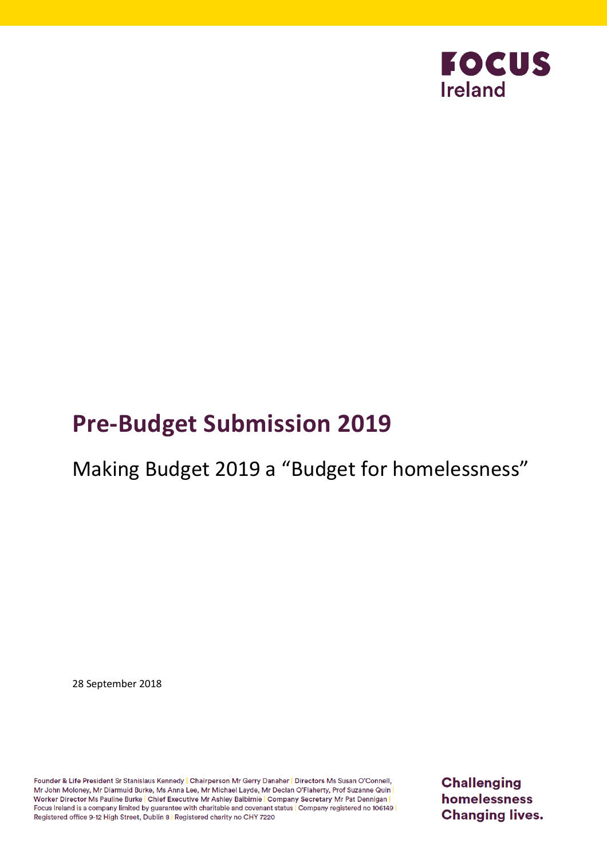

# **Pre-Budget Submission 2019**

# Making Budget 2019 a "Budget for homelessness"

28 September 2018

Founder & Life President Sr Stanislaus Kennedy | Chairperson Mr Gerry Danaher | Directors Ms Susan O'Connell, Mr John Moloney, Mr Diarmuid Burke, Ms Anna Lee, Mr Michael Layde, Mr Declan O'Flaherty, Prof Suzanne Quin Worker Director Ms Pauline Burke | Chief Executive Mr Ashley Balbirnie | Company Secretary Mr Pat Dennigan | Focus Ireland is a company limited by guarantee with charitable and covenant status | Company registered no 106149 Registered office 9-12 High Street, Dublin 8 | Registered charity no CHY 7220

**Challenging** homelessness **Changing lives.**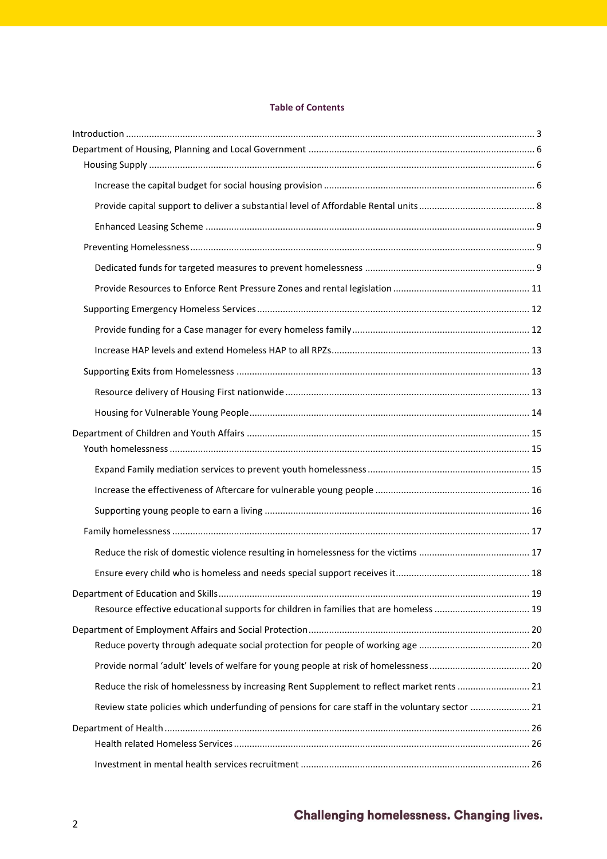#### **Table of Contents**

| Reduce the risk of homelessness by increasing Rent Supplement to reflect market rents  21       |  |
|-------------------------------------------------------------------------------------------------|--|
| Review state policies which underfunding of pensions for care staff in the voluntary sector  21 |  |
|                                                                                                 |  |
|                                                                                                 |  |
|                                                                                                 |  |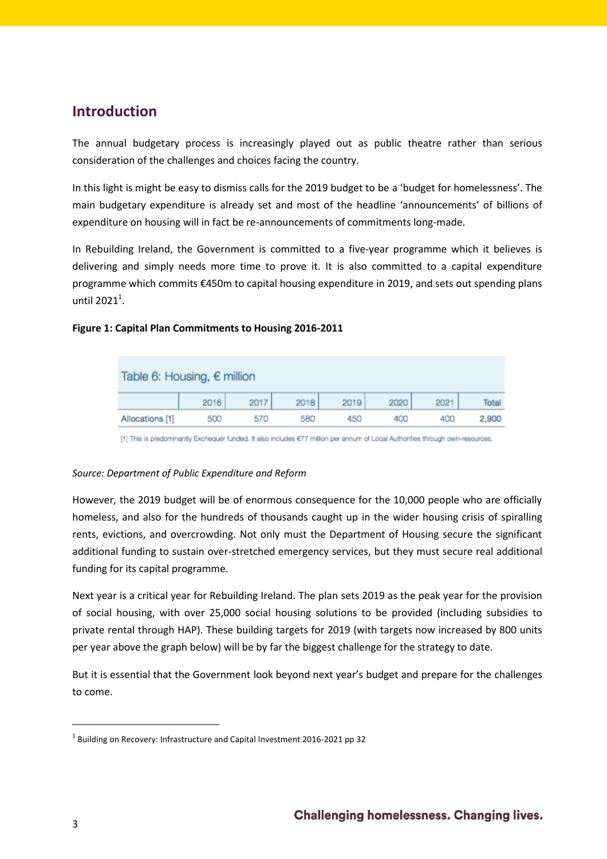# <span id="page-2-0"></span>**Introduction**

The annual budgetary process is increasingly played out as public theatre rather than serious consideration of the challenges and choices facing the country.

In this light is might be easy to dismiss calls for the 2019 budget to be a 'budget for homelessness'. The main budgetary expenditure is already set and most of the headline 'announcements' of billions of expenditure on housing will in fact be re-announcements of commitments long-made.

In Rebuilding Ireland, the Government is committed to a five-year programme which it believes is delivering and simply needs more time to prove it. It is also committed to a capital expenditure programme which commits €450m to capital housing expenditure in 2019, and sets out spending plans until 2021 $^1$ .

### **Figure 1: Capital Plan Commitments to Housing 2016-2011**

| Table 6: Housing, $\epsilon$ million |      |      |      |      |      |      |       |  |
|--------------------------------------|------|------|------|------|------|------|-------|--|
|                                      | 2016 | 2017 | 2018 | 2019 | 2020 | 2021 | Total |  |
| Allocations [1]                      | 500  | 570  | 580  | 450  | 400  | 400  | 2,900 |  |

[1] This is predominantly Exchequer funded. It also includes €77 million per annum of Local Authorities through own-resources.

#### *Source: Department of Public Expenditure and Reform*

However, the 2019 budget will be of enormous consequence for the 10,000 people who are officially homeless, and also for the hundreds of thousands caught up in the wider housing crisis of spiralling rents, evictions, and overcrowding. Not only must the Department of Housing secure the significant additional funding to sustain over-stretched emergency services, but they must secure real additional funding for its capital programme.

Next year is a critical year for Rebuilding Ireland. The plan sets 2019 as the peak year for the provision of social housing, with over 25,000 social housing solutions to be provided (including subsidies to private rental through HAP). These building targets for 2019 (with targets now increased by 800 units per year above the graph below) will be by far the biggest challenge for the strategy to date.

But it is essential that the Government look beyond next year's budget and prepare for the challenges to come.

 $^1$  Building on Recovery: Infrastructure and Capital Investment 2016-2021 pp 32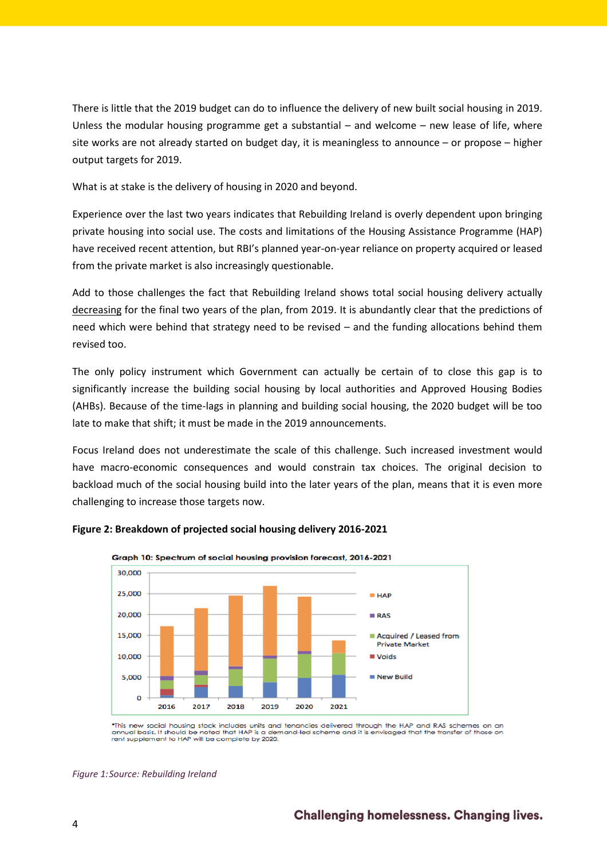There is little that the 2019 budget can do to influence the delivery of new built social housing in 2019. Unless the modular housing programme get a substantial – and welcome – new lease of life, where site works are not already started on budget day, it is meaningless to announce – or propose – higher output targets for 2019.

What is at stake is the delivery of housing in 2020 and beyond.

Experience over the last two years indicates that Rebuilding Ireland is overly dependent upon bringing private housing into social use. The costs and limitations of the Housing Assistance Programme (HAP) have received recent attention, but RBI's planned year-on-year reliance on property acquired or leased from the private market is also increasingly questionable.

Add to those challenges the fact that Rebuilding Ireland shows total social housing delivery actually decreasing for the final two years of the plan, from 2019. It is abundantly clear that the predictions of need which were behind that strategy need to be revised – and the funding allocations behind them revised too.

The only policy instrument which Government can actually be certain of to close this gap is to significantly increase the building social housing by local authorities and Approved Housing Bodies (AHBs). Because of the time-lags in planning and building social housing, the 2020 budget will be too late to make that shift; it must be made in the 2019 announcements.

Focus Ireland does not underestimate the scale of this challenge. Such increased investment would have macro-economic consequences and would constrain tax choices. The original decision to backload much of the social housing build into the later years of the plan, means that it is even more challenging to increase those targets now.



#### **Figure 2: Breakdown of projected social housing delivery 2016-2021**

\*This new social housing stock includes units and tenancies delivered through the HAP and RAS schemes on an<br>annual basis. It should be noted that HAP is a demand-led scheme and it is envisaged that the transfer of those on

*Figure 1:Source: Rebuilding Ireland*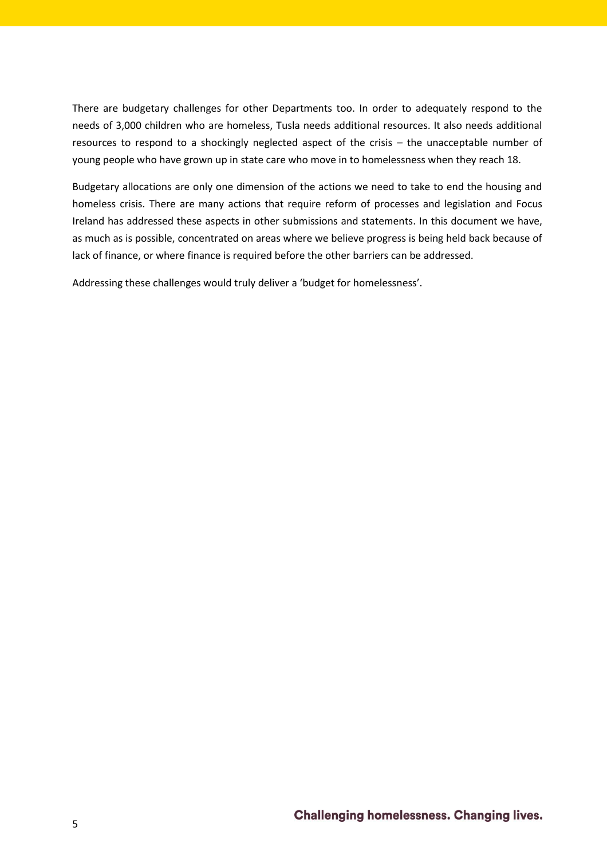There are budgetary challenges for other Departments too. In order to adequately respond to the needs of 3,000 children who are homeless, Tusla needs additional resources. It also needs additional resources to respond to a shockingly neglected aspect of the crisis – the unacceptable number of young people who have grown up in state care who move in to homelessness when they reach 18.

Budgetary allocations are only one dimension of the actions we need to take to end the housing and homeless crisis. There are many actions that require reform of processes and legislation and Focus Ireland has addressed these aspects in other submissions and statements. In this document we have, as much as is possible, concentrated on areas where we believe progress is being held back because of lack of finance, or where finance is required before the other barriers can be addressed.

Addressing these challenges would truly deliver a 'budget for homelessness'.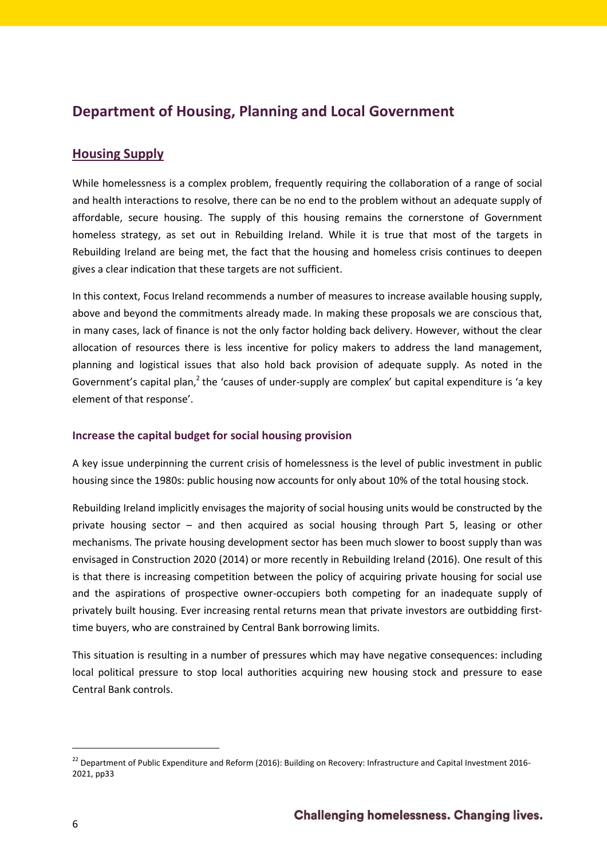# <span id="page-5-0"></span>**Department of Housing, Planning and Local Government**

# <span id="page-5-1"></span>**Housing Supply**

While homelessness is a complex problem, frequently requiring the collaboration of a range of social and health interactions to resolve, there can be no end to the problem without an adequate supply of affordable, secure housing. The supply of this housing remains the cornerstone of Government homeless strategy, as set out in Rebuilding Ireland. While it is true that most of the targets in Rebuilding Ireland are being met, the fact that the housing and homeless crisis continues to deepen gives a clear indication that these targets are not sufficient.

In this context, Focus Ireland recommends a number of measures to increase available housing supply, above and beyond the commitments already made. In making these proposals we are conscious that, in many cases, lack of finance is not the only factor holding back delivery. However, without the clear allocation of resources there is less incentive for policy makers to address the land management, planning and logistical issues that also hold back provision of adequate supply. As noted in the Government's capital plan,<sup>2</sup> the 'causes of under-supply are complex' but capital expenditure is 'a key element of that response'.

# <span id="page-5-2"></span>**Increase the capital budget for social housing provision**

A key issue underpinning the current crisis of homelessness is the level of public investment in public housing since the 1980s: public housing now accounts for only about 10% of the total housing stock.

Rebuilding Ireland implicitly envisages the majority of social housing units would be constructed by the private housing sector – and then acquired as social housing through Part 5, leasing or other mechanisms. The private housing development sector has been much slower to boost supply than was envisaged in Construction 2020 (2014) or more recently in Rebuilding Ireland (2016). One result of this is that there is increasing competition between the policy of acquiring private housing for social use and the aspirations of prospective owner-occupiers both competing for an inadequate supply of privately built housing. Ever increasing rental returns mean that private investors are outbidding firsttime buyers, who are constrained by Central Bank borrowing limits.

This situation is resulting in a number of pressures which may have negative consequences: including local political pressure to stop local authorities acquiring new housing stock and pressure to ease Central Bank controls.

<sup>&</sup>lt;sup>22</sup> Department of Public Expenditure and Reform (2016): Building on Recovery: Infrastructure and Capital Investment 2016-2021, pp33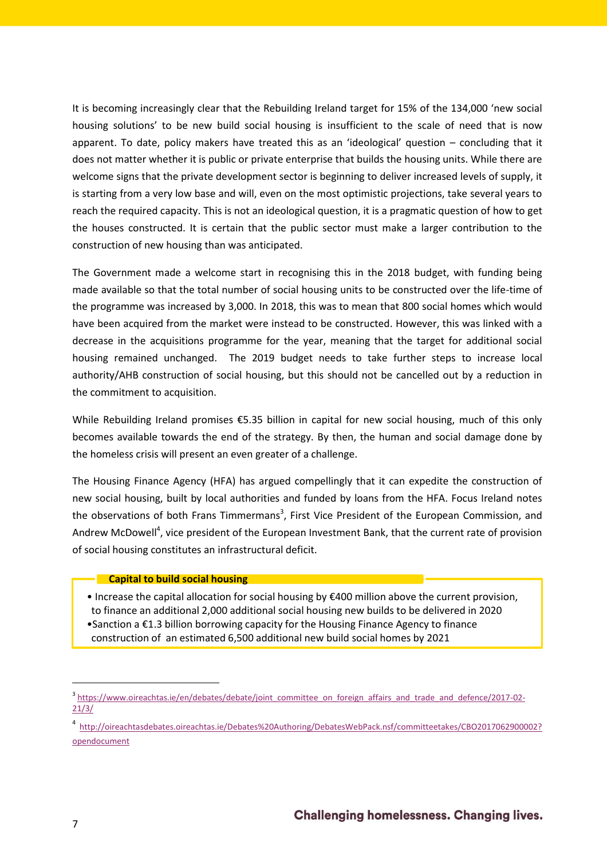It is becoming increasingly clear that the Rebuilding Ireland target for 15% of the 134,000 'new social housing solutions' to be new build social housing is insufficient to the scale of need that is now apparent. To date, policy makers have treated this as an 'ideological' question – concluding that it does not matter whether it is public or private enterprise that builds the housing units. While there are welcome signs that the private development sector is beginning to deliver increased levels of supply, it is starting from a very low base and will, even on the most optimistic projections, take several years to reach the required capacity. This is not an ideological question, it is a pragmatic question of how to get the houses constructed. It is certain that the public sector must make a larger contribution to the construction of new housing than was anticipated.

The Government made a welcome start in recognising this in the 2018 budget, with funding being made available so that the total number of social housing units to be constructed over the life-time of the programme was increased by 3,000. In 2018, this was to mean that 800 social homes which would have been acquired from the market were instead to be constructed. However, this was linked with a decrease in the acquisitions programme for the year, meaning that the target for additional social housing remained unchanged. The 2019 budget needs to take further steps to increase local authority/AHB construction of social housing, but this should not be cancelled out by a reduction in the commitment to acquisition.

While Rebuilding Ireland promises €5.35 billion in capital for new social housing, much of this only becomes available towards the end of the strategy. By then, the human and social damage done by the homeless crisis will present an even greater of a challenge.

The Housing Finance Agency (HFA) has argued compellingly that it can expedite the construction of new social housing, built by local authorities and funded by loans from the HFA. Focus Ireland notes the observations of both Frans Timmermans<sup>3</sup>, First Vice President of the European Commission, and Andrew McDowell<sup>4</sup>, vice president of the European Investment Bank, that the current rate of provision of social housing constitutes an infrastructural deficit.

#### **Capital to build social housing**

• Increase the capital allocation for social housing by €400 million above the current provision, to finance an additional 2,000 additional social housing new builds to be delivered in 2020 •Sanction a €1.3 billion borrowing capacity for the Housing Finance Agency to finance construction of an estimated 6,500 additional new build social homes by 2021

<sup>&</sup>lt;sup>3</sup> [https://www.oireachtas.ie/en/debates/debate/joint\\_committee\\_on\\_foreign\\_affairs\\_and\\_trade\\_and\\_defence/2017-02-](https://www.oireachtas.ie/en/debates/debate/joint_committee_on_foreign_affairs_and_trade_and_defence/2017-02-21/3/) [21/3/](https://www.oireachtas.ie/en/debates/debate/joint_committee_on_foreign_affairs_and_trade_and_defence/2017-02-21/3/)

<sup>4</sup> [http://oireachtasdebates.oireachtas.ie/Debates%20Authoring/DebatesWebPack.nsf/committeetakes/CBO2017062900002?](http://oireachtasdebates.oireachtas.ie/Debates%20Authoring/DebatesWebPack.nsf/committeetakes/CBO2017062900002?opendocument) [opendocument](http://oireachtasdebates.oireachtas.ie/Debates%20Authoring/DebatesWebPack.nsf/committeetakes/CBO2017062900002?opendocument)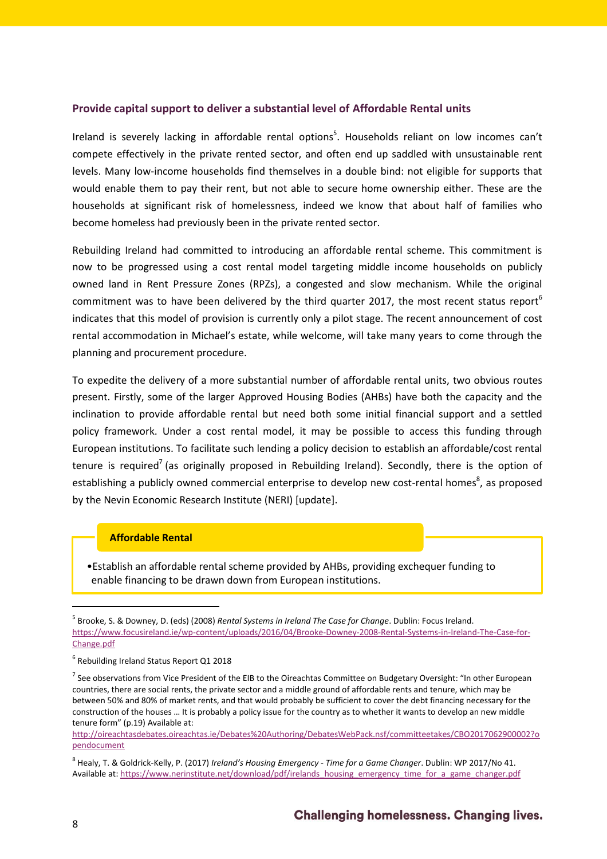#### <span id="page-7-0"></span>**Provide capital support to deliver a substantial level of Affordable Rental units**

Ireland is severely lacking in affordable rental options<sup>5</sup>. Households reliant on low incomes can't compete effectively in the private rented sector, and often end up saddled with unsustainable rent levels. Many low-income households find themselves in a double bind: not eligible for supports that would enable them to pay their rent, but not able to secure home ownership either. These are the households at significant risk of homelessness, indeed we know that about half of families who become homeless had previously been in the private rented sector.

Rebuilding Ireland had committed to introducing an affordable rental scheme. This commitment is now to be progressed using a cost rental model targeting middle income households on publicly owned land in Rent Pressure Zones (RPZs), a congested and slow mechanism. While the original commitment was to have been delivered by the third quarter 2017, the most recent status report<sup>6</sup> indicates that this model of provision is currently only a pilot stage. The recent announcement of cost rental accommodation in Michael's estate, while welcome, will take many years to come through the planning and procurement procedure.

To expedite the delivery of a more substantial number of affordable rental units, two obvious routes present. Firstly, some of the larger Approved Housing Bodies (AHBs) have both the capacity and the inclination to provide affordable rental but need both some initial financial support and a settled policy framework. Under a cost rental model, it may be possible to access this funding through European institutions. To facilitate such lending a policy decision to establish an affordable/cost rental tenure is required<sup>7</sup> (as originally proposed in Rebuilding Ireland). Secondly, there is the option of establishing a publicly owned commercial enterprise to develop new cost-rental homes<sup>8</sup>, as proposed by the Nevin Economic Research Institute (NERI) [update].

#### **Affordable Rental**

•Establish an affordable rental scheme provided by AHBs, providing exchequer funding to enable financing to be drawn down from European institutions.

[http://oireachtasdebates.oireachtas.ie/Debates%20Authoring/DebatesWebPack.nsf/committeetakes/CBO2017062900002?o](http://oireachtasdebates.oireachtas.ie/Debates%20Authoring/DebatesWebPack.nsf/committeetakes/CBO2017062900002?opendocument) [pendocument](http://oireachtasdebates.oireachtas.ie/Debates%20Authoring/DebatesWebPack.nsf/committeetakes/CBO2017062900002?opendocument)

<sup>5</sup> Brooke, S. & Downey, D. (eds) (2008) *Rental Systems in Ireland The Case for Change*. Dublin: Focus Ireland. [https://www.focusireland.ie/wp-content/uploads/2016/04/Brooke-Downey-2008-Rental-Systems-in-Ireland-The-Case-for-](https://www.focusireland.ie/wp-content/uploads/2016/04/Brooke-Downey-2008-Rental-Systems-in-Ireland-The-Case-for-Change.pdf)[Change.pdf](https://www.focusireland.ie/wp-content/uploads/2016/04/Brooke-Downey-2008-Rental-Systems-in-Ireland-The-Case-for-Change.pdf)

<sup>6</sup> Rebuilding Ireland Status Report Q1 2018

 $^7$  See observations from Vice President of the EIB to the Oireachtas Committee on Budgetary Oversight: "In other European countries, there are social rents, the private sector and a middle ground of affordable rents and tenure, which may be between 50% and 80% of market rents, and that would probably be sufficient to cover the debt financing necessary for the construction of the houses … It is probably a policy issue for the country as to whether it wants to develop an new middle tenure form" (p.19) Available at:

<sup>8</sup> Healy, T. & Goldrick-Kelly, P. (2017) *Ireland's Housing Emergency - Time for a Game Changer*. Dublin: WP 2017/No 41. Available at: [https://www.nerinstitute.net/download/pdf/irelands\\_housing\\_emergency\\_time\\_for\\_a\\_game\\_changer.pdf](https://www.nerinstitute.net/download/pdf/irelands_housing_emergency_time_for_a_game_changer.pdf)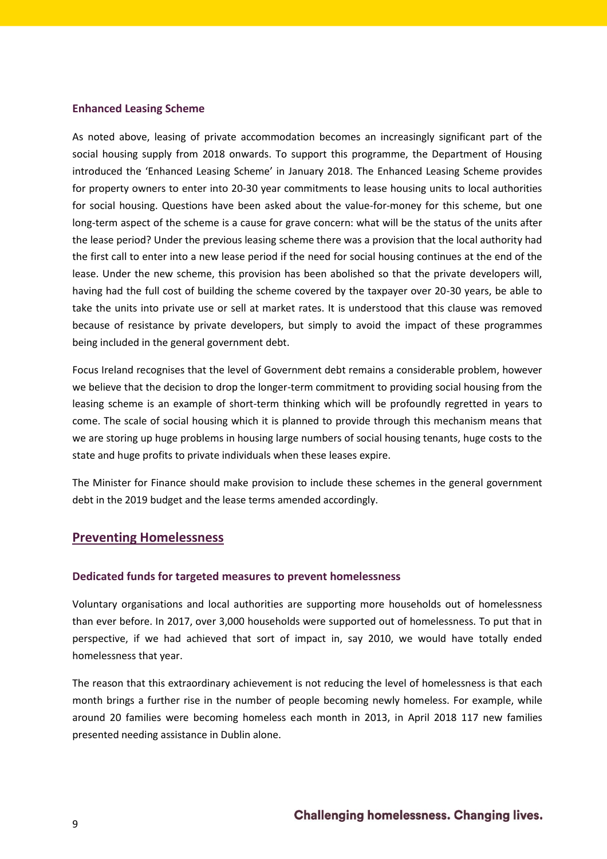#### <span id="page-8-0"></span>**Enhanced Leasing Scheme**

As noted above, leasing of private accommodation becomes an increasingly significant part of the social housing supply from 2018 onwards. To support this programme, the Department of Housing introduced the 'Enhanced Leasing Scheme' in January 2018. The Enhanced Leasing Scheme provides for property owners to enter into 20-30 year commitments to lease housing units to local authorities for social housing. Questions have been asked about the value-for-money for this scheme, but one long-term aspect of the scheme is a cause for grave concern: what will be the status of the units after the lease period? Under the previous leasing scheme there was a provision that the local authority had the first call to enter into a new lease period if the need for social housing continues at the end of the lease. Under the new scheme, this provision has been abolished so that the private developers will, having had the full cost of building the scheme covered by the taxpayer over 20-30 years, be able to take the units into private use or sell at market rates. It is understood that this clause was removed because of resistance by private developers, but simply to avoid the impact of these programmes being included in the general government debt.

Focus Ireland recognises that the level of Government debt remains a considerable problem, however we believe that the decision to drop the longer-term commitment to providing social housing from the leasing scheme is an example of short-term thinking which will be profoundly regretted in years to come. The scale of social housing which it is planned to provide through this mechanism means that we are storing up huge problems in housing large numbers of social housing tenants, huge costs to the state and huge profits to private individuals when these leases expire.

The Minister for Finance should make provision to include these schemes in the general government debt in the 2019 budget and the lease terms amended accordingly.

#### <span id="page-8-1"></span>**Preventing Homelessness**

#### <span id="page-8-2"></span>**Dedicated funds for targeted measures to prevent homelessness**

Voluntary organisations and local authorities are supporting more households out of homelessness than ever before. In 2017, over 3,000 households were supported out of homelessness. To put that in perspective, if we had achieved that sort of impact in, say 2010, we would have totally ended homelessness that year.

The reason that this extraordinary achievement is not reducing the level of homelessness is that each month brings a further rise in the number of people becoming newly homeless. For example, while around 20 families were becoming homeless each month in 2013, in April 2018 117 new families presented needing assistance in Dublin alone.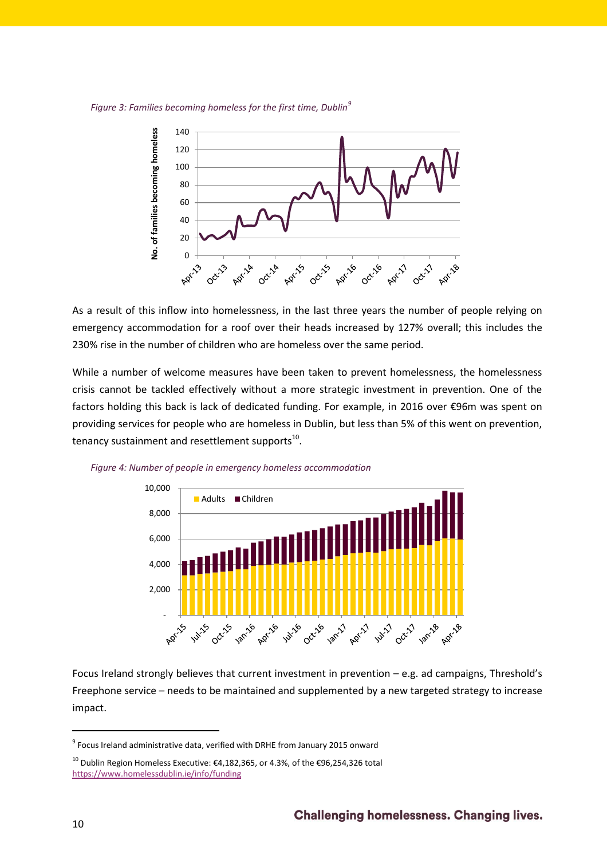*Figure 3: Families becoming homeless for the first time, Dublin<sup>9</sup>*



As a result of this inflow into homelessness, in the last three years the number of people relying on emergency accommodation for a roof over their heads increased by 127% overall; this includes the 230% rise in the number of children who are homeless over the same period.

While a number of welcome measures have been taken to prevent homelessness, the homelessness crisis cannot be tackled effectively without a more strategic investment in prevention. One of the factors holding this back is lack of dedicated funding. For example, in 2016 over €96m was spent on providing services for people who are homeless in Dublin, but less than 5% of this went on prevention, tenancy sustainment and resettlement supports $^{10}$ .



*Figure 4: Number of people in emergency homeless accommodation*

Focus Ireland strongly believes that current investment in prevention – e.g. ad campaigns, Threshold's Freephone service – needs to be maintained and supplemented by a new targeted strategy to increase impact.

 $^9$  Focus Ireland administrative data, verified with DRHE from January 2015 onward

<sup>&</sup>lt;sup>10</sup> Dublin Region Homeless Executive: €4,182,365, or 4.3%, of the €96,254,326 total <https://www.homelessdublin.ie/info/funding>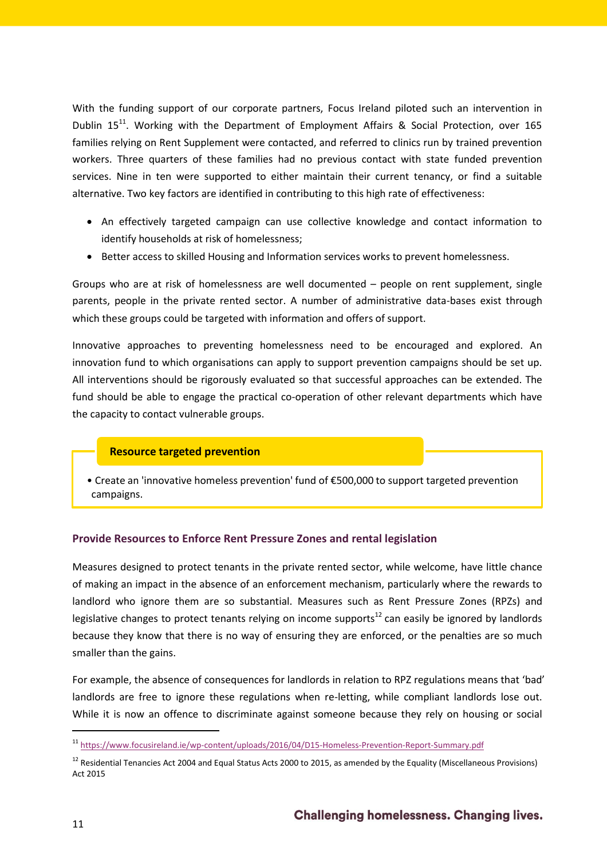With the funding support of our corporate partners, Focus Ireland piloted such an intervention in Dublin  $15^{11}$ . Working with the Department of Employment Affairs & Social Protection, over 165 families relying on Rent Supplement were contacted, and referred to clinics run by trained prevention workers. Three quarters of these families had no previous contact with state funded prevention services. Nine in ten were supported to either maintain their current tenancy, or find a suitable alternative. Two key factors are identified in contributing to this high rate of effectiveness:

- An effectively targeted campaign can use collective knowledge and contact information to identify households at risk of homelessness;
- Better access to skilled Housing and Information services works to prevent homelessness.

Groups who are at risk of homelessness are well documented – people on rent supplement, single parents, people in the private rented sector. A number of administrative data-bases exist through which these groups could be targeted with information and offers of support.

Innovative approaches to preventing homelessness need to be encouraged and explored. An innovation fund to which organisations can apply to support prevention campaigns should be set up. All interventions should be rigorously evaluated so that successful approaches can be extended. The fund should be able to engage the practical co-operation of other relevant departments which have the capacity to contact vulnerable groups.

# **Resource targeted prevention**

• Create an 'innovative homeless prevention' fund of €500,000 to support targeted prevention campaigns.

# <span id="page-10-0"></span>**Provide Resources to Enforce Rent Pressure Zones and rental legislation**

Measures designed to protect tenants in the private rented sector, while welcome, have little chance of making an impact in the absence of an enforcement mechanism, particularly where the rewards to landlord who ignore them are so substantial. Measures such as Rent Pressure Zones (RPZs) and legislative changes to protect tenants relying on income supports<sup>12</sup> can easily be ignored by landlords because they know that there is no way of ensuring they are enforced, or the penalties are so much smaller than the gains.

For example, the absence of consequences for landlords in relation to RPZ regulations means that 'bad' landlords are free to ignore these regulations when re-letting, while compliant landlords lose out. While it is now an offence to discriminate against someone because they rely on housing or social

<sup>11</sup> <https://www.focusireland.ie/wp-content/uploads/2016/04/D15-Homeless-Prevention-Report-Summary.pdf>

 $12$  Residential Tenancies Act 2004 and Equal Status Acts 2000 to 2015, as amended by the Equality (Miscellaneous Provisions) Act 2015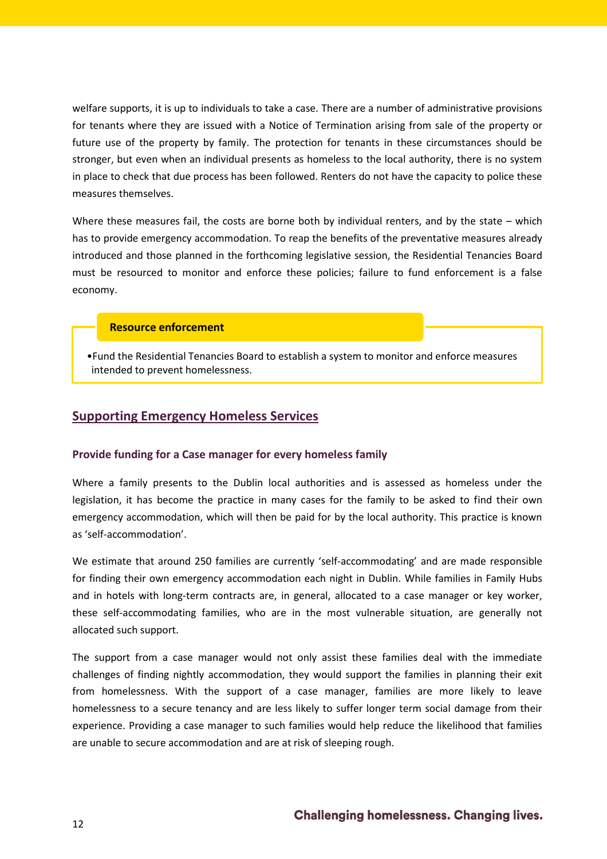welfare supports, it is up to individuals to take a case. There are a number of administrative provisions for tenants where they are issued with a Notice of Termination arising from sale of the property or future use of the property by family. The protection for tenants in these circumstances should be stronger, but even when an individual presents as homeless to the local authority, there is no system in place to check that due process has been followed. Renters do not have the capacity to police these measures themselves.

Where these measures fail, the costs are borne both by individual renters, and by the state – which has to provide emergency accommodation. To reap the benefits of the preventative measures already introduced and those planned in the forthcoming legislative session, the Residential Tenancies Board must be resourced to monitor and enforce these policies; failure to fund enforcement is a false economy.

### **Resource enforcement**

•Fund the Residential Tenancies Board to establish a system to monitor and enforce measures intended to prevent homelessness.

# <span id="page-11-0"></span>**Supporting Emergency Homeless Services**

#### <span id="page-11-1"></span>**Provide funding for a Case manager for every homeless family**

Where a family presents to the Dublin local authorities and is assessed as homeless under the legislation, it has become the practice in many cases for the family to be asked to find their own emergency accommodation, which will then be paid for by the local authority. This practice is known as 'self-accommodation'.

We estimate that around 250 families are currently 'self-accommodating' and are made responsible for finding their own emergency accommodation each night in Dublin. While families in Family Hubs and in hotels with long-term contracts are, in general, allocated to a case manager or key worker, these self-accommodating families, who are in the most vulnerable situation, are generally not allocated such support.

The support from a case manager would not only assist these families deal with the immediate challenges of finding nightly accommodation, they would support the families in planning their exit from homelessness. With the support of a case manager, families are more likely to leave homelessness to a secure tenancy and are less likely to suffer longer term social damage from their experience. Providing a case manager to such families would help reduce the likelihood that families are unable to secure accommodation and are at risk of sleeping rough.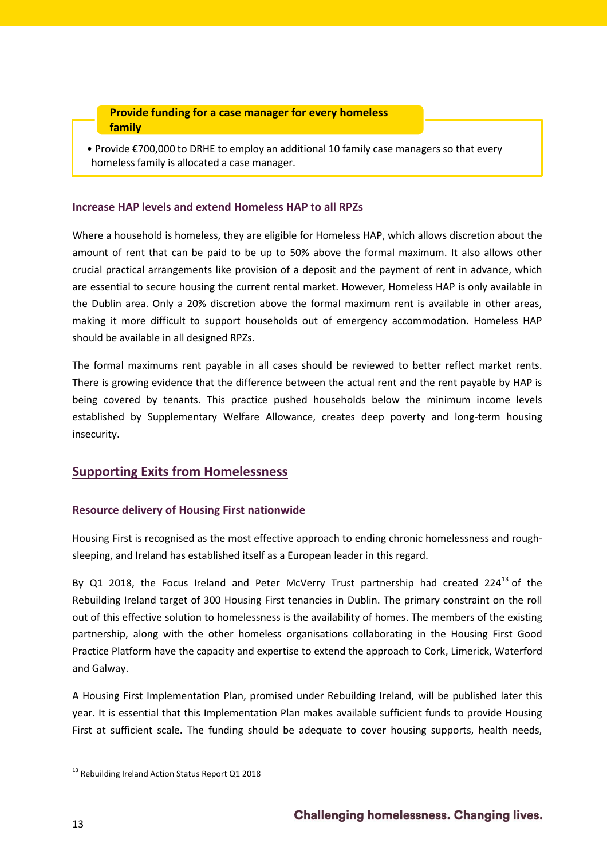### **Provide funding for a case manager for every homeless family**

• Provide €700,000 to DRHE to employ an additional 10 family case managers so that every homeless family is allocated a case manager.

### <span id="page-12-0"></span>**Increase HAP levels and extend Homeless HAP to all RPZs**

Where a household is homeless, they are eligible for Homeless HAP, which allows discretion about the amount of rent that can be paid to be up to 50% above the formal maximum. It also allows other crucial practical arrangements like provision of a deposit and the payment of rent in advance, which are essential to secure housing the current rental market. However, Homeless HAP is only available in the Dublin area. Only a 20% discretion above the formal maximum rent is available in other areas, making it more difficult to support households out of emergency accommodation. Homeless HAP should be available in all designed RPZs.

The formal maximums rent payable in all cases should be reviewed to better reflect market rents. There is growing evidence that the difference between the actual rent and the rent payable by HAP is being covered by tenants. This practice pushed households below the minimum income levels established by Supplementary Welfare Allowance, creates deep poverty and long-term housing insecurity.

# <span id="page-12-1"></span>**Supporting Exits from Homelessness**

# <span id="page-12-2"></span>**Resource delivery of Housing First nationwide**

Housing First is recognised as the most effective approach to ending chronic homelessness and roughsleeping, and Ireland has established itself as a European leader in this regard.

By Q1 2018, the Focus Ireland and Peter McVerry Trust partnership had created  $224^{13}$  of the Rebuilding Ireland target of 300 Housing First tenancies in Dublin. The primary constraint on the roll out of this effective solution to homelessness is the availability of homes. The members of the existing partnership, along with the other homeless organisations collaborating in the Housing First Good Practice Platform have the capacity and expertise to extend the approach to Cork, Limerick, Waterford and Galway.

A Housing First Implementation Plan, promised under Rebuilding Ireland, will be published later this year. It is essential that this Implementation Plan makes available sufficient funds to provide Housing First at sufficient scale. The funding should be adequate to cover housing supports, health needs,

<sup>&</sup>lt;sup>13</sup> Rebuilding Ireland Action Status Report Q1 2018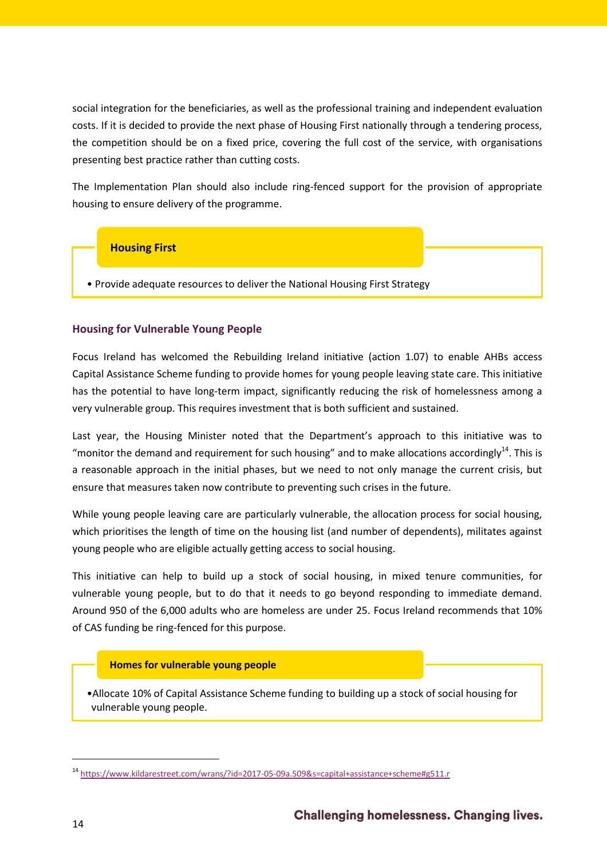social integration for the beneficiaries, as well as the professional training and independent evaluation costs. If it is decided to provide the next phase of Housing First nationally through a tendering process, the competition should be on a fixed price, covering the full cost of the service, with organisations presenting best practice rather than cutting costs.

The Implementation Plan should also include ring-fenced support for the provision of appropriate housing to ensure delivery of the programme.

# **Housing First**

• Provide adequate resources to deliver the National Housing First Strategy

# <span id="page-13-0"></span>**Housing for Vulnerable Young People**

Focus Ireland has welcomed the Rebuilding Ireland initiative (action 1.07) to enable AHBs access Capital Assistance Scheme funding to provide homes for young people leaving state care. This initiative has the potential to have long-term impact, significantly reducing the risk of homelessness among a very vulnerable group. This requires investment that is both sufficient and sustained.

Last year, the Housing Minister noted that the Department's approach to this initiative was to "monitor the demand and requirement for such housing" and to make allocations accordingly<sup>14</sup>. This is a reasonable approach in the initial phases, but we need to not only manage the current crisis, but ensure that measures taken now contribute to preventing such crises in the future.

While young people leaving care are particularly vulnerable, the allocation process for social housing, which prioritises the length of time on the housing list (and number of dependents), militates against young people who are eligible actually getting access to social housing.

This initiative can help to build up a stock of social housing, in mixed tenure communities, for vulnerable young people, but to do that it needs to go beyond responding to immediate demand. Around 950 of the 6,000 adults who are homeless are under 25. Focus Ireland recommends that 10% of CAS funding be ring-fenced for this purpose.

#### **Homes for vulnerable young people**

•Allocate 10% of Capital Assistance Scheme funding to building up a stock of social housing for vulnerable young people.

<sup>&</sup>lt;sup>14</sup> <https://www.kildarestreet.com/wrans/?id=2017-05-09a.509&s=capital+assistance+scheme#g511.r>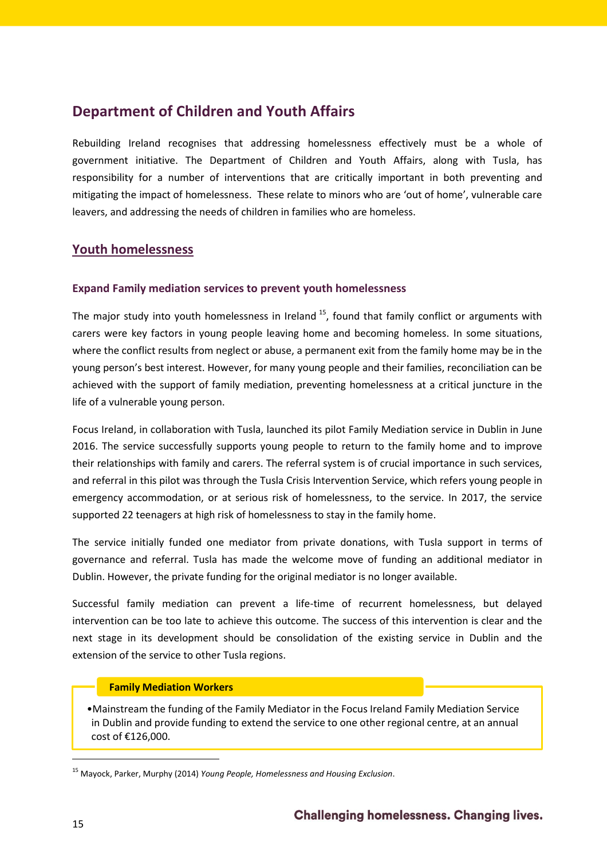# <span id="page-14-0"></span>**Department of Children and Youth Affairs**

Rebuilding Ireland recognises that addressing homelessness effectively must be a whole of government initiative. The Department of Children and Youth Affairs, along with Tusla, has responsibility for a number of interventions that are critically important in both preventing and mitigating the impact of homelessness. These relate to minors who are 'out of home', vulnerable care leavers, and addressing the needs of children in families who are homeless.

# <span id="page-14-1"></span>**Youth homelessness**

### <span id="page-14-2"></span>**Expand Family mediation services to prevent youth homelessness**

The major study into youth homelessness in Ireland  $^{15}$ , found that family conflict or arguments with carers were key factors in young people leaving home and becoming homeless. In some situations, where the conflict results from neglect or abuse, a permanent exit from the family home may be in the young person's best interest. However, for many young people and their families, reconciliation can be achieved with the support of family mediation, preventing homelessness at a critical juncture in the life of a vulnerable young person.

Focus Ireland, in collaboration with Tusla, launched its pilot Family Mediation service in Dublin in June 2016. The service successfully supports young people to return to the family home and to improve their relationships with family and carers. The referral system is of crucial importance in such services, and referral in this pilot was through the Tusla Crisis Intervention Service, which refers young people in emergency accommodation, or at serious risk of homelessness, to the service. In 2017, the service supported 22 teenagers at high risk of homelessness to stay in the family home.

The service initially funded one mediator from private donations, with Tusla support in terms of governance and referral. Tusla has made the welcome move of funding an additional mediator in Dublin. However, the private funding for the original mediator is no longer available.

Successful family mediation can prevent a life-time of recurrent homelessness, but delayed intervention can be too late to achieve this outcome. The success of this intervention is clear and the next stage in its development should be consolidation of the existing service in Dublin and the extension of the service to other Tusla regions.

#### **Family Mediation Workers**

•Mainstream the funding of the Family Mediator in the Focus Ireland Family Mediation Service in Dublin and provide funding to extend the service to one other regional centre, at an annual cost of €126,000.

<sup>15</sup> Mayock, Parker, Murphy (2014) *Young People, Homelessness and Housing Exclusion*.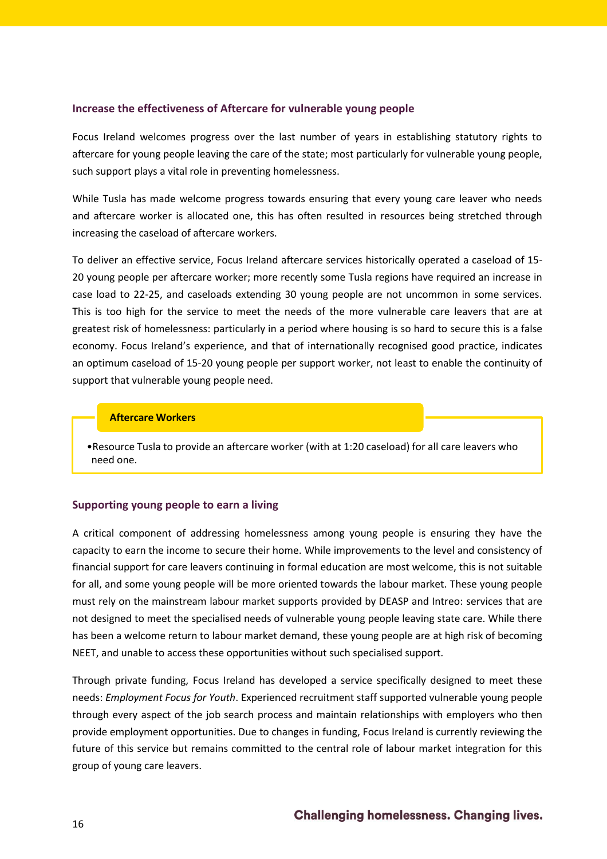#### <span id="page-15-0"></span>**Increase the effectiveness of Aftercare for vulnerable young people**

Focus Ireland welcomes progress over the last number of years in establishing statutory rights to aftercare for young people leaving the care of the state; most particularly for vulnerable young people, such support plays a vital role in preventing homelessness.

While Tusla has made welcome progress towards ensuring that every young care leaver who needs and aftercare worker is allocated one, this has often resulted in resources being stretched through increasing the caseload of aftercare workers.

To deliver an effective service, Focus Ireland aftercare services historically operated a caseload of 15- 20 young people per aftercare worker; more recently some Tusla regions have required an increase in case load to 22-25, and caseloads extending 30 young people are not uncommon in some services. This is too high for the service to meet the needs of the more vulnerable care leavers that are at greatest risk of homelessness: particularly in a period where housing is so hard to secure this is a false economy. Focus Ireland's experience, and that of internationally recognised good practice, indicates an optimum caseload of 15-20 young people per support worker, not least to enable the continuity of support that vulnerable young people need.

#### **Aftercare Workers**

•Resource Tusla to provide an aftercare worker (with at 1:20 caseload) for all care leavers who need one.

# <span id="page-15-1"></span>**Supporting young people to earn a living**

A critical component of addressing homelessness among young people is ensuring they have the capacity to earn the income to secure their home. While improvements to the level and consistency of financial support for care leavers continuing in formal education are most welcome, this is not suitable for all, and some young people will be more oriented towards the labour market. These young people must rely on the mainstream labour market supports provided by DEASP and Intreo: services that are not designed to meet the specialised needs of vulnerable young people leaving state care. While there has been a welcome return to labour market demand, these young people are at high risk of becoming NEET, and unable to access these opportunities without such specialised support.

Through private funding, Focus Ireland has developed a service specifically designed to meet these needs: *Employment Focus for Youth*. Experienced recruitment staff supported vulnerable young people through every aspect of the job search process and maintain relationships with employers who then provide employment opportunities. Due to changes in funding, Focus Ireland is currently reviewing the future of this service but remains committed to the central role of labour market integration for this group of young care leavers.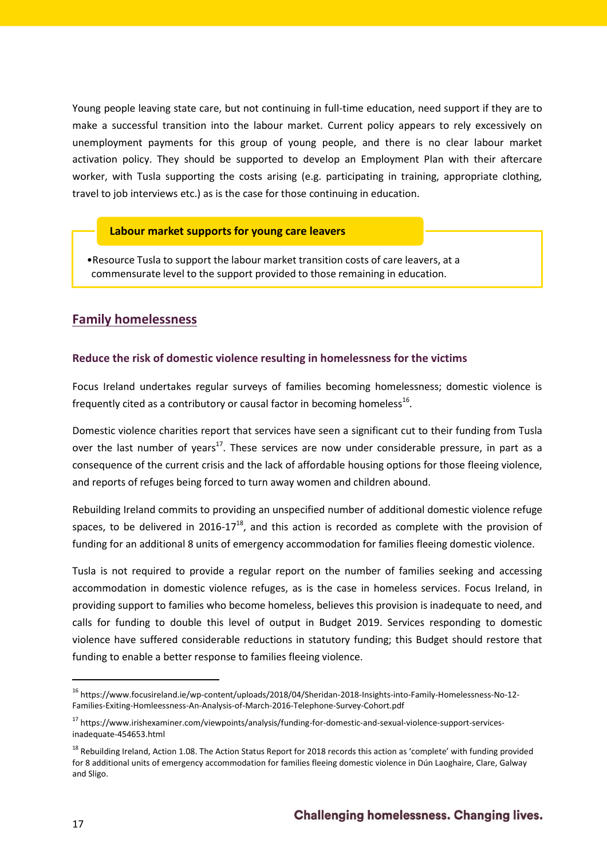Young people leaving state care, but not continuing in full-time education, need support if they are to make a successful transition into the labour market. Current policy appears to rely excessively on unemployment payments for this group of young people, and there is no clear labour market activation policy. They should be supported to develop an Employment Plan with their aftercare worker, with Tusla supporting the costs arising (e.g. participating in training, appropriate clothing, travel to job interviews etc.) as is the case for those continuing in education.

#### **Labour market supports for young care leavers**

•Resource Tusla to support the labour market transition costs of care leavers, at a commensurate level to the support provided to those remaining in education.

# <span id="page-16-0"></span>**Family homelessness**

#### <span id="page-16-1"></span>**Reduce the risk of domestic violence resulting in homelessness for the victims**

Focus Ireland undertakes regular surveys of families becoming homelessness; domestic violence is frequently cited as a contributory or causal factor in becoming homeless $^{16}$ .

Domestic violence charities report that services have seen a significant cut to their funding from Tusla over the last number of years<sup>17</sup>. These services are now under considerable pressure, in part as a consequence of the current crisis and the lack of affordable housing options for those fleeing violence, and reports of refuges being forced to turn away women and children abound.

Rebuilding Ireland commits to providing an unspecified number of additional domestic violence refuge spaces, to be delivered in 2016-17 $^{18}$ , and this action is recorded as complete with the provision of funding for an additional 8 units of emergency accommodation for families fleeing domestic violence.

Tusla is not required to provide a regular report on the number of families seeking and accessing accommodation in domestic violence refuges, as is the case in homeless services. Focus Ireland, in providing support to families who become homeless, believes this provision is inadequate to need, and calls for funding to double this level of output in Budget 2019. Services responding to domestic violence have suffered considerable reductions in statutory funding; this Budget should restore that funding to enable a better response to families fleeing violence.

<sup>&</sup>lt;sup>16</sup> https://www.focusireland.ie/wp-content/uploads/2018/04/Sheridan-2018-Insights-into-Family-Homelessness-No-12-Families-Exiting-Homleessness-An-Analysis-of-March-2016-Telephone-Survey-Cohort.pdf

<sup>&</sup>lt;sup>17</sup> https://www.irishexaminer.com/viewpoints/analysis/funding-for-domestic-and-sexual-violence-support-servicesinadequate-454653.html

<sup>&</sup>lt;sup>18</sup> Rebuilding Ireland, Action 1.08. The Action Status Report for 2018 records this action as 'complete' with funding provided for 8 additional units of emergency accommodation for families fleeing domestic violence in Dún Laoghaire, Clare, Galway and Sligo.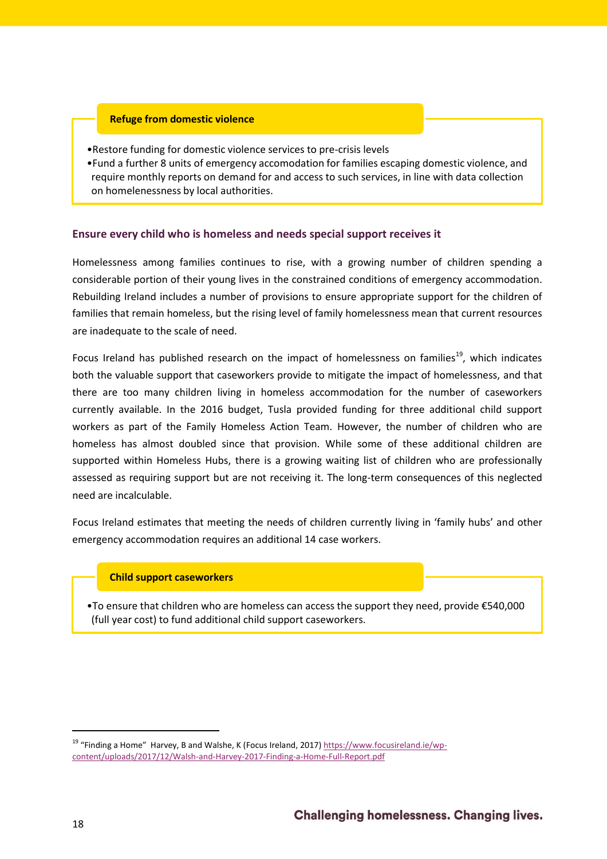#### **Refuge from domestic violence**

•Restore funding for domestic violence services to pre-crisis levels

•Fund a further 8 units of emergency accomodation for families escaping domestic violence, and require monthly reports on demand for and access to such services, in line with data collection on homelenessness by local authorities.

### <span id="page-17-0"></span>**Ensure every child who is homeless and needs special support receives it**

Homelessness among families continues to rise, with a growing number of children spending a considerable portion of their young lives in the constrained conditions of emergency accommodation. Rebuilding Ireland includes a number of provisions to ensure appropriate support for the children of families that remain homeless, but the rising level of family homelessness mean that current resources are inadequate to the scale of need.

Focus Ireland has published research on the impact of homelessness on families<sup>19</sup>, which indicates both the valuable support that caseworkers provide to mitigate the impact of homelessness, and that there are too many children living in homeless accommodation for the number of caseworkers currently available. In the 2016 budget, Tusla provided funding for three additional child support workers as part of the Family Homeless Action Team. However, the number of children who are homeless has almost doubled since that provision. While some of these additional children are supported within Homeless Hubs, there is a growing waiting list of children who are professionally assessed as requiring support but are not receiving it. The long-term consequences of this neglected need are incalculable.

Focus Ireland estimates that meeting the needs of children currently living in 'family hubs' and other emergency accommodation requires an additional 14 case workers.

#### **Child support caseworkers**

•To ensure that children who are homeless can access the support they need, provide €540,000 (full year cost) to fund additional child support caseworkers.

<sup>&</sup>lt;sup>19</sup> "Finding a Home" Harvey, B and Walshe, K (Focus Ireland, 2017) [https://www.focusireland.ie/wp](https://www.focusireland.ie/wp-content/uploads/2017/12/Walsh-and-Harvey-2017-Finding-a-Home-Full-Report.pdf)[content/uploads/2017/12/Walsh-and-Harvey-2017-Finding-a-Home-Full-Report.pdf](https://www.focusireland.ie/wp-content/uploads/2017/12/Walsh-and-Harvey-2017-Finding-a-Home-Full-Report.pdf)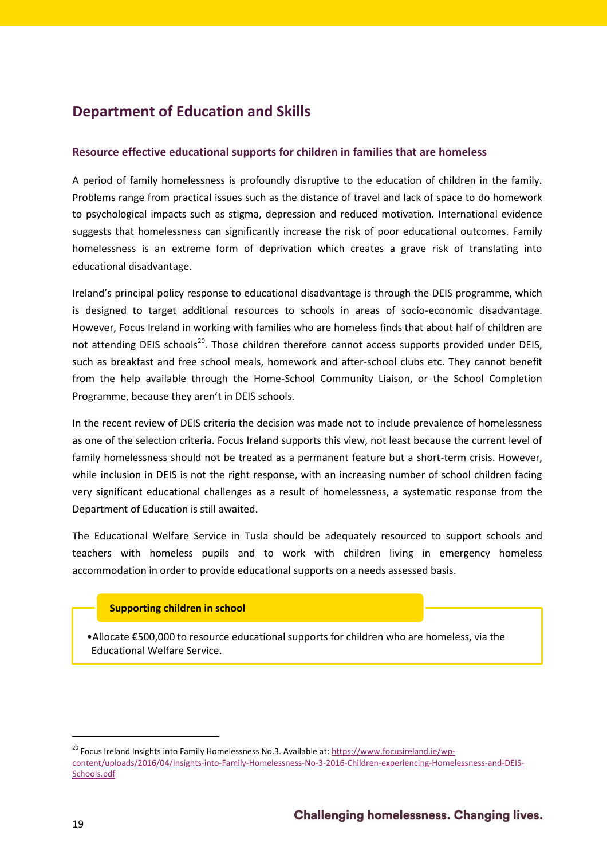# <span id="page-18-0"></span>**Department of Education and Skills**

### <span id="page-18-1"></span>**Resource effective educational supports for children in families that are homeless**

A period of family homelessness is profoundly disruptive to the education of children in the family. Problems range from practical issues such as the distance of travel and lack of space to do homework to psychological impacts such as stigma, depression and reduced motivation. International evidence suggests that homelessness can significantly increase the risk of poor educational outcomes. Family homelessness is an extreme form of deprivation which creates a grave risk of translating into educational disadvantage.

Ireland's principal policy response to educational disadvantage is through the DEIS programme, which is designed to target additional resources to schools in areas of socio-economic disadvantage. However, Focus Ireland in working with families who are homeless finds that about half of children are not attending DEIS schools<sup>20</sup>. Those children therefore cannot access supports provided under DEIS, such as breakfast and free school meals, homework and after-school clubs etc. They cannot benefit from the help available through the Home-School Community Liaison, or the School Completion Programme, because they aren't in DEIS schools.

In the recent review of DEIS criteria the decision was made not to include prevalence of homelessness as one of the selection criteria. Focus Ireland supports this view, not least because the current level of family homelessness should not be treated as a permanent feature but a short-term crisis. However, while inclusion in DEIS is not the right response, with an increasing number of school children facing very significant educational challenges as a result of homelessness, a systematic response from the Department of Education is still awaited.

The Educational Welfare Service in Tusla should be adequately resourced to support schools and teachers with homeless pupils and to work with children living in emergency homeless accommodation in order to provide educational supports on a needs assessed basis.

#### **Supporting children in school**

•Allocate €500,000 to resource educational supports for children who are homeless, via the Educational Welfare Service.

<sup>&</sup>lt;sup>20</sup> Focus Ireland Insights into Family Homelessness No.3. Available at[: https://www.focusireland.ie/wp](https://www.focusireland.ie/wp-content/uploads/2016/04/Insights-into-Family-Homelessness-No-3-2016-Children-experiencing-Homelessness-and-DEIS-Schools.pdf)[content/uploads/2016/04/Insights-into-Family-Homelessness-No-3-2016-Children-experiencing-Homelessness-and-DEIS-](https://www.focusireland.ie/wp-content/uploads/2016/04/Insights-into-Family-Homelessness-No-3-2016-Children-experiencing-Homelessness-and-DEIS-Schools.pdf)[Schools.pdf](https://www.focusireland.ie/wp-content/uploads/2016/04/Insights-into-Family-Homelessness-No-3-2016-Children-experiencing-Homelessness-and-DEIS-Schools.pdf)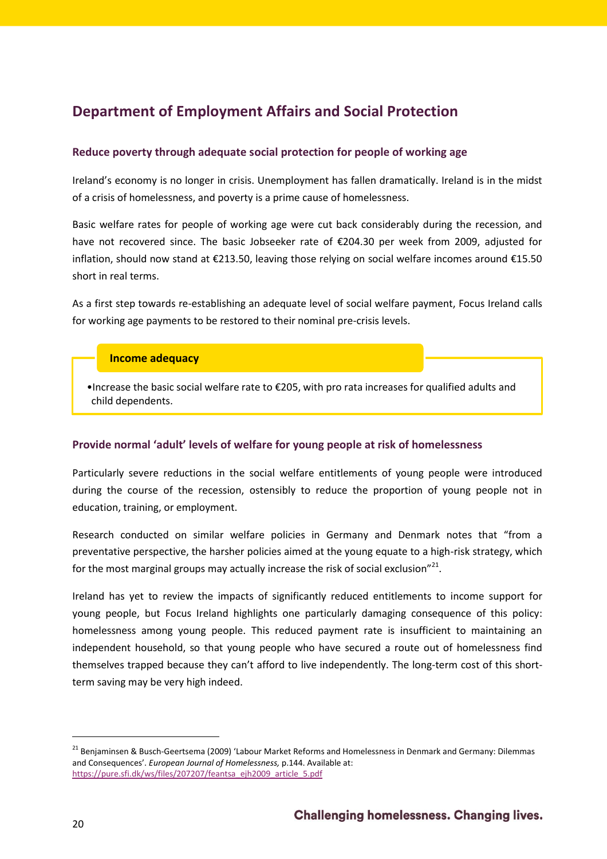# <span id="page-19-0"></span>**Department of Employment Affairs and Social Protection**

# <span id="page-19-1"></span>**Reduce poverty through adequate social protection for people of working age**

Ireland's economy is no longer in crisis. Unemployment has fallen dramatically. Ireland is in the midst of a crisis of homelessness, and poverty is a prime cause of homelessness.

Basic welfare rates for people of working age were cut back considerably during the recession, and have not recovered since. The basic Jobseeker rate of €204.30 per week from 2009, adjusted for inflation, should now stand at €213.50, leaving those relying on social welfare incomes around €15.50 short in real terms.

As a first step towards re-establishing an adequate level of social welfare payment, Focus Ireland calls for working age payments to be restored to their nominal pre-crisis levels.

# **Income adequacy**

•Increase the basic social welfare rate to €205, with pro rata increases for qualified adults and child dependents.

# <span id="page-19-2"></span>**Provide normal 'adult' levels of welfare for young people at risk of homelessness**

Particularly severe reductions in the social welfare entitlements of young people were introduced during the course of the recession, ostensibly to reduce the proportion of young people not in education, training, or employment.

Research conducted on similar welfare policies in Germany and Denmark notes that "from a preventative perspective, the harsher policies aimed at the young equate to a high-risk strategy, which for the most marginal groups may actually increase the risk of social exclusion"<sup>21</sup>.

Ireland has yet to review the impacts of significantly reduced entitlements to income support for young people, but Focus Ireland highlights one particularly damaging consequence of this policy: homelessness among young people. This reduced payment rate is insufficient to maintaining an independent household, so that young people who have secured a route out of homelessness find themselves trapped because they can't afford to live independently. The long-term cost of this shortterm saving may be very high indeed.

<sup>&</sup>lt;sup>21</sup> Benjaminsen & Busch-Geertsema (2009) 'Labour Market Reforms and Homelessness in Denmark and Germany: Dilemmas and Consequences'. *European Journal of Homelessness,* p.144. Available at: [https://pure.sfi.dk/ws/files/207207/feantsa\\_ejh2009\\_article\\_5.pdf](https://pure.sfi.dk/ws/files/207207/feantsa_ejh2009_article_5.pdf)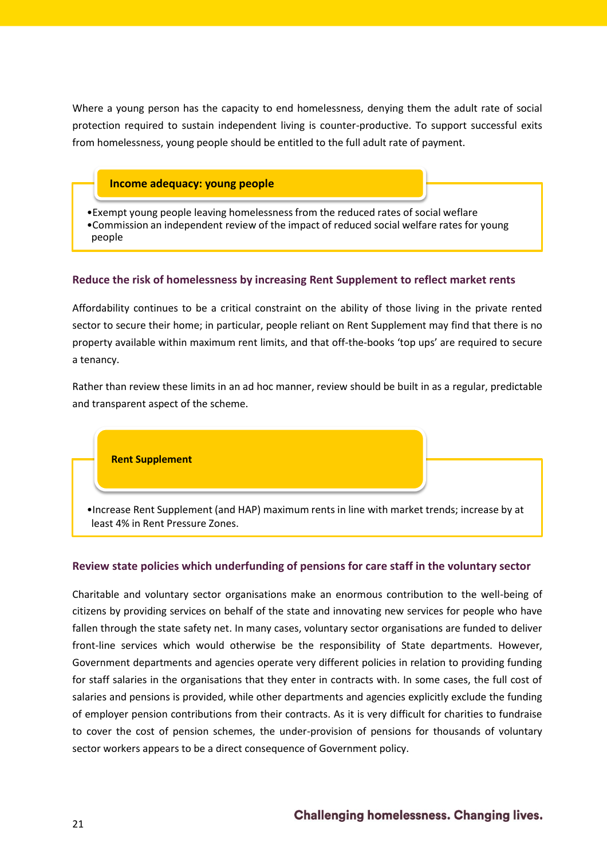Where a young person has the capacity to end homelessness, denying them the adult rate of social protection required to sustain independent living is counter-productive. To support successful exits from homelessness, young people should be entitled to the full adult rate of payment.

# **Income adequacy: young people**

•Exempt young people leaving homelessness from the reduced rates of social weflare •Commission an independent review of the impact of reduced social welfare rates for young people

# <span id="page-20-0"></span>**Reduce the risk of homelessness by increasing Rent Supplement to reflect market rents**

Affordability continues to be a critical constraint on the ability of those living in the private rented sector to secure their home; in particular, people reliant on Rent Supplement may find that there is no property available within maximum rent limits, and that off-the-books 'top ups' are required to secure a tenancy.

Rather than review these limits in an ad hoc manner, review should be built in as a regular, predictable and transparent aspect of the scheme.

**Rent Supplement**

•Increase Rent Supplement (and HAP) maximum rents in line with market trends; increase by at least 4% in Rent Pressure Zones.

#### <span id="page-20-1"></span>**Review state policies which underfunding of pensions for care staff in the voluntary sector**

Charitable and voluntary sector organisations make an enormous contribution to the well-being of citizens by providing services on behalf of the state and innovating new services for people who have fallen through the state safety net. In many cases, voluntary sector organisations are funded to deliver front-line services which would otherwise be the responsibility of State departments. However, Government departments and agencies operate very different policies in relation to providing funding for staff salaries in the organisations that they enter in contracts with. In some cases, the full cost of salaries and pensions is provided, while other departments and agencies explicitly exclude the funding of employer pension contributions from their contracts. As it is very difficult for charities to fundraise to cover the cost of pension schemes, the under-provision of pensions for thousands of voluntary sector workers appears to be a direct consequence of Government policy.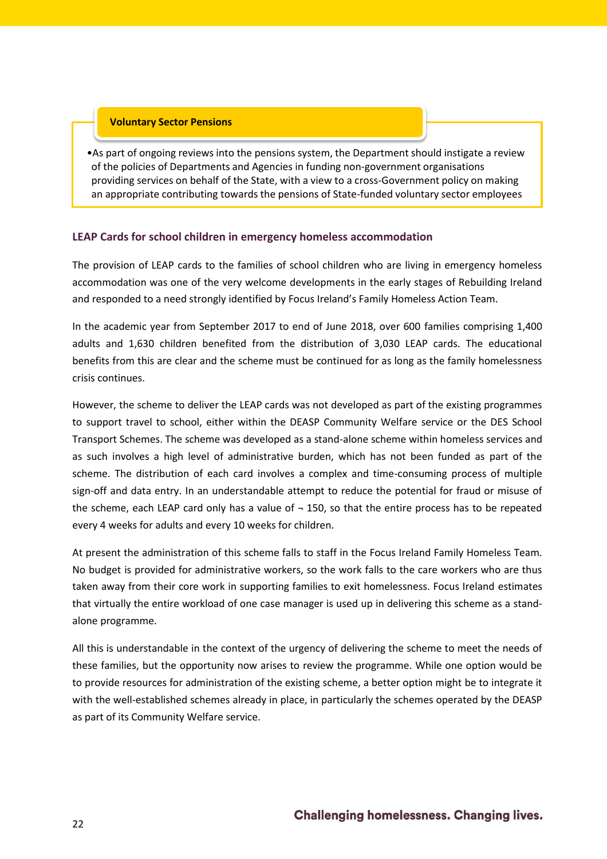#### **Voluntary Sector Pensions**

•As part of ongoing reviews into the pensions system, the Department should instigate a review of the policies of Departments and Agencies in funding non-government organisations providing services on behalf of the State, with a view to a cross-Government policy on making an appropriate contributing towards the pensions of State-funded voluntary sector employees

#### **LEAP Cards for school children in emergency homeless accommodation**

The provision of LEAP cards to the families of school children who are living in emergency homeless accommodation was one of the very welcome developments in the early stages of Rebuilding Ireland and responded to a need strongly identified by Focus Ireland's Family Homeless Action Team.

In the academic year from September 2017 to end of June 2018, over 600 families comprising 1,400 adults and 1,630 children benefited from the distribution of 3,030 LEAP cards. The educational benefits from this are clear and the scheme must be continued for as long as the family homelessness crisis continues.

However, the scheme to deliver the LEAP cards was not developed as part of the existing programmes to support travel to school, either within the DEASP Community Welfare service or the DES School Transport Schemes. The scheme was developed as a stand-alone scheme within homeless services and as such involves a high level of administrative burden, which has not been funded as part of the scheme. The distribution of each card involves a complex and time-consuming process of multiple sign-off and data entry. In an understandable attempt to reduce the potential for fraud or misuse of the scheme, each LEAP card only has a value of  $-150$ , so that the entire process has to be repeated every 4 weeks for adults and every 10 weeks for children.

At present the administration of this scheme falls to staff in the Focus Ireland Family Homeless Team. No budget is provided for administrative workers, so the work falls to the care workers who are thus taken away from their core work in supporting families to exit homelessness. Focus Ireland estimates that virtually the entire workload of one case manager is used up in delivering this scheme as a standalone programme.

All this is understandable in the context of the urgency of delivering the scheme to meet the needs of these families, but the opportunity now arises to review the programme. While one option would be to provide resources for administration of the existing scheme, a better option might be to integrate it with the well-established schemes already in place, in particularly the schemes operated by the DEASP as part of its Community Welfare service.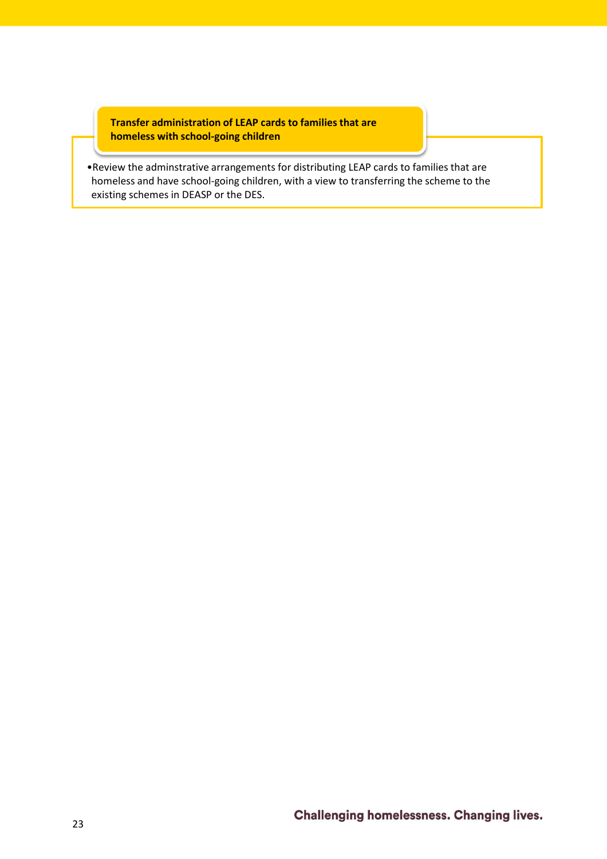**Transfer administration of LEAP cards to families that are homeless with school-going children**

•Review the adminstrative arrangements for distributing LEAP cards to families that are homeless and have school-going children, with a view to transferring the scheme to the existing schemes in DEASP or the DES.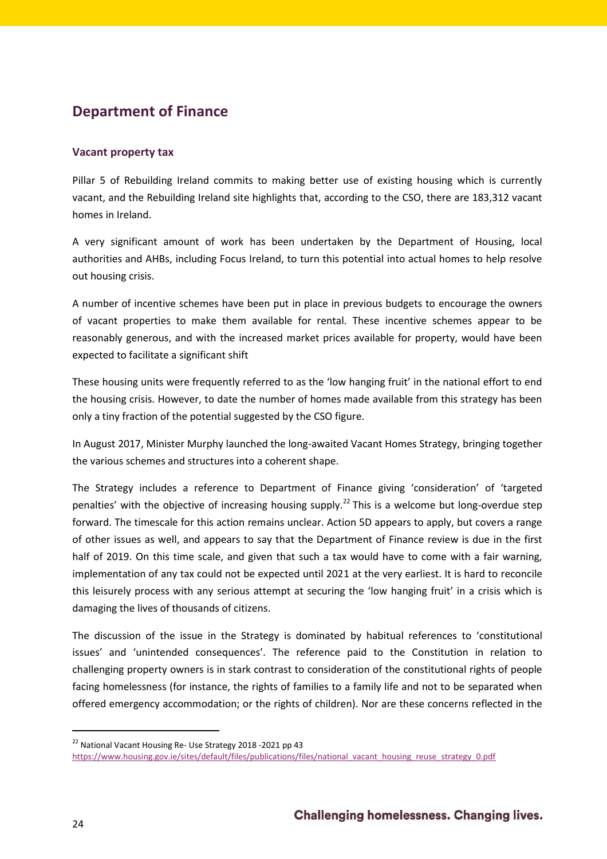# **Department of Finance**

# **Vacant property tax**

Pillar 5 of Rebuilding Ireland commits to making better use of existing housing which is currently vacant, and the Rebuilding Ireland site highlights that, according to the CSO, there are 183,312 vacant homes in Ireland.

A very significant amount of work has been undertaken by the Department of Housing, local authorities and AHBs, including Focus Ireland, to turn this potential into actual homes to help resolve out housing crisis.

A number of incentive schemes have been put in place in previous budgets to encourage the owners of vacant properties to make them available for rental. These incentive schemes appear to be reasonably generous, and with the increased market prices available for property, would have been expected to facilitate a significant shift

These housing units were frequently referred to as the 'low hanging fruit' in the national effort to end the housing crisis. However, to date the number of homes made available from this strategy has been only a tiny fraction of the potential suggested by the CSO figure.

In August 2017, Minister Murphy launched the long-awaited Vacant Homes Strategy, bringing together the various schemes and structures into a coherent shape.

The Strategy includes a reference to Department of Finance giving 'consideration' of 'targeted penalties' with the objective of increasing housing supply.<sup>22</sup> This is a welcome but long-overdue step forward. The timescale for this action remains unclear. Action 5D appears to apply, but covers a range of other issues as well, and appears to say that the Department of Finance review is due in the first half of 2019. On this time scale, and given that such a tax would have to come with a fair warning, implementation of any tax could not be expected until 2021 at the very earliest. It is hard to reconcile this leisurely process with any serious attempt at securing the 'low hanging fruit' in a crisis which is damaging the lives of thousands of citizens.

The discussion of the issue in the Strategy is dominated by habitual references to 'constitutional issues' and 'unintended consequences'. The reference paid to the Constitution in relation to challenging property owners is in stark contrast to consideration of the constitutional rights of people facing homelessness (for instance, the rights of families to a family life and not to be separated when offered emergency accommodation; or the rights of children). Nor are these concerns reflected in the

<sup>&</sup>lt;sup>22</sup> National Vacant Housing Re- Use Strategy 2018 -2021 pp 43

[https://www.housing.gov.ie/sites/default/files/publications/files/national\\_vacant\\_housing\\_reuse\\_strategy\\_0.pdf](https://www.housing.gov.ie/sites/default/files/publications/files/national_vacant_housing_reuse_strategy_0.pdf)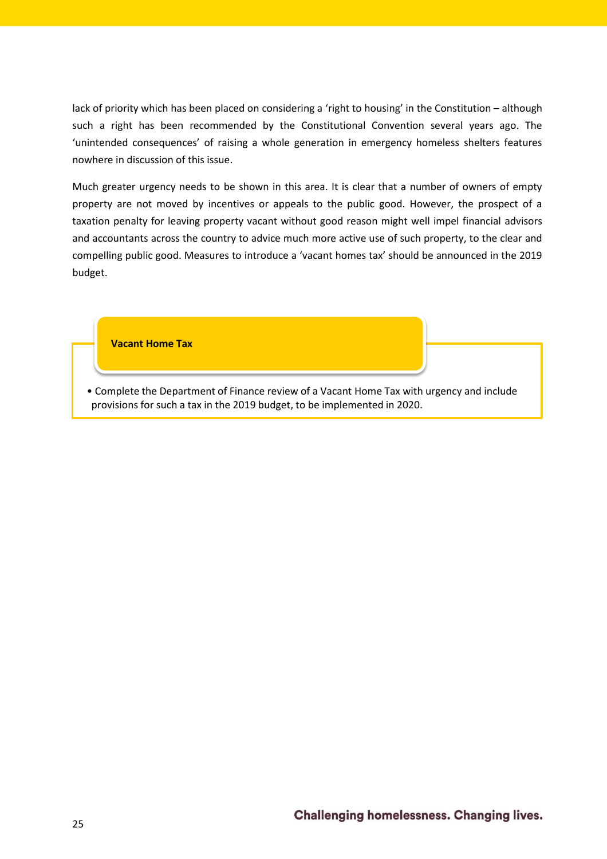lack of priority which has been placed on considering a 'right to housing' in the Constitution – although such a right has been recommended by the Constitutional Convention several years ago. The 'unintended consequences' of raising a whole generation in emergency homeless shelters features nowhere in discussion of this issue.

Much greater urgency needs to be shown in this area. It is clear that a number of owners of empty property are not moved by incentives or appeals to the public good. However, the prospect of a taxation penalty for leaving property vacant without good reason might well impel financial advisors and accountants across the country to advice much more active use of such property, to the clear and compelling public good. Measures to introduce a 'vacant homes tax' should be announced in the 2019 budget.

**Vacant Home Tax**

• Complete the Department of Finance review of a Vacant Home Tax with urgency and include provisions for such a tax in the 2019 budget, to be implemented in 2020.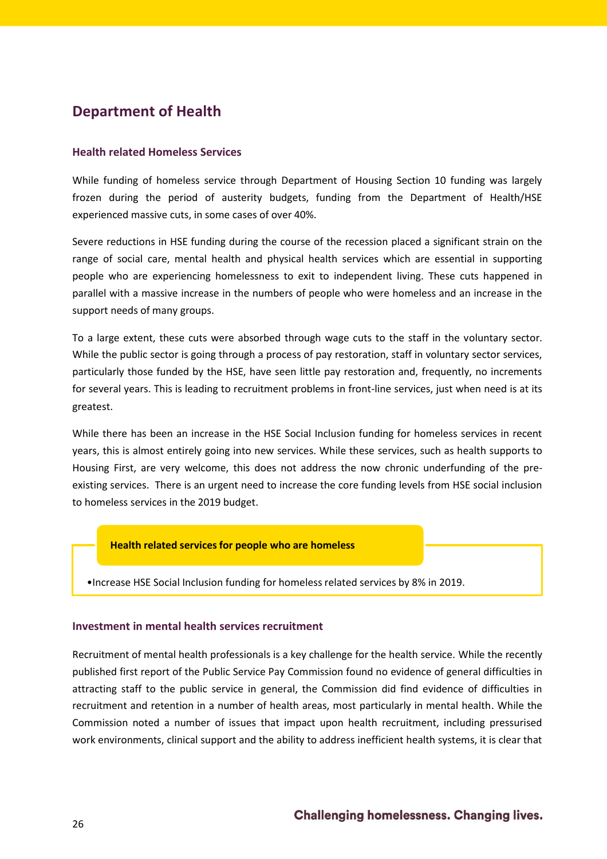# <span id="page-25-0"></span>**Department of Health**

#### <span id="page-25-1"></span>**Health related Homeless Services**

While funding of homeless service through Department of Housing Section 10 funding was largely frozen during the period of austerity budgets, funding from the Department of Health/HSE experienced massive cuts, in some cases of over 40%.

Severe reductions in HSE funding during the course of the recession placed a significant strain on the range of social care, mental health and physical health services which are essential in supporting people who are experiencing homelessness to exit to independent living. These cuts happened in parallel with a massive increase in the numbers of people who were homeless and an increase in the support needs of many groups.

To a large extent, these cuts were absorbed through wage cuts to the staff in the voluntary sector. While the public sector is going through a process of pay restoration, staff in voluntary sector services, particularly those funded by the HSE, have seen little pay restoration and, frequently, no increments for several years. This is leading to recruitment problems in front-line services, just when need is at its greatest.

While there has been an increase in the HSE Social Inclusion funding for homeless services in recent years, this is almost entirely going into new services. While these services, such as health supports to Housing First, are very welcome, this does not address the now chronic underfunding of the preexisting services. There is an urgent need to increase the core funding levels from HSE social inclusion to homeless services in the 2019 budget.

#### **Health related services for people who are homeless**

•Increase HSE Social Inclusion funding for homeless related services by 8% in 2019.

#### <span id="page-25-2"></span>**Investment in mental health services recruitment**

Recruitment of mental health professionals is a key challenge for the health service. While the recently published first report of the Public Service Pay Commission found no evidence of general difficulties in attracting staff to the public service in general, the Commission did find evidence of difficulties in recruitment and retention in a number of health areas, most particularly in mental health. While the Commission noted a number of issues that impact upon health recruitment, including pressurised work environments, clinical support and the ability to address inefficient health systems, it is clear that